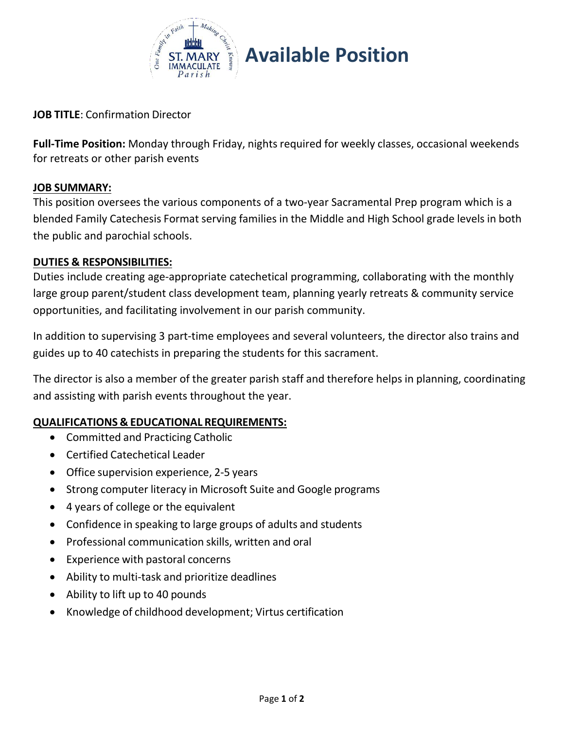

## **Available Position**

**JOB TITLE**: Confirmation Director

**Full-Time Position:** Monday through Friday, nights required for weekly classes, occasional weekends for retreats or other parish events

#### **JOB SUMMARY:**

This position oversees the various components of a two-year Sacramental Prep program which is a blended Family Catechesis Format serving families in the Middle and High School grade levels in both the public and parochial schools.

#### **DUTIES & RESPONSIBILITIES:**

Duties include creating age-appropriate catechetical programming, collaborating with the monthly large group parent/student class development team, planning yearly retreats & community service opportunities, and facilitating involvement in our parish community.

In addition to supervising 3 part-time employees and several volunteers, the director also trains and guides up to 40 catechists in preparing the students for this sacrament.

The director is also a member of the greater parish staff and therefore helps in planning, coordinating and assisting with parish events throughout the year.

#### **QUALIFICATIONS & EDUCATIONAL REQUIREMENTS:**

- Committed and Practicing Catholic
- Certified Catechetical Leader
- Office supervision experience, 2-5 years
- Strong computer literacy in Microsoft Suite and Google programs
- 4 years of college or the equivalent
- Confidence in speaking to large groups of adults and students
- Professional communication skills, written and oral
- Experience with pastoral concerns
- Ability to multi-task and prioritize deadlines
- Ability to lift up to 40 pounds
- Knowledge of childhood development; Virtus certification